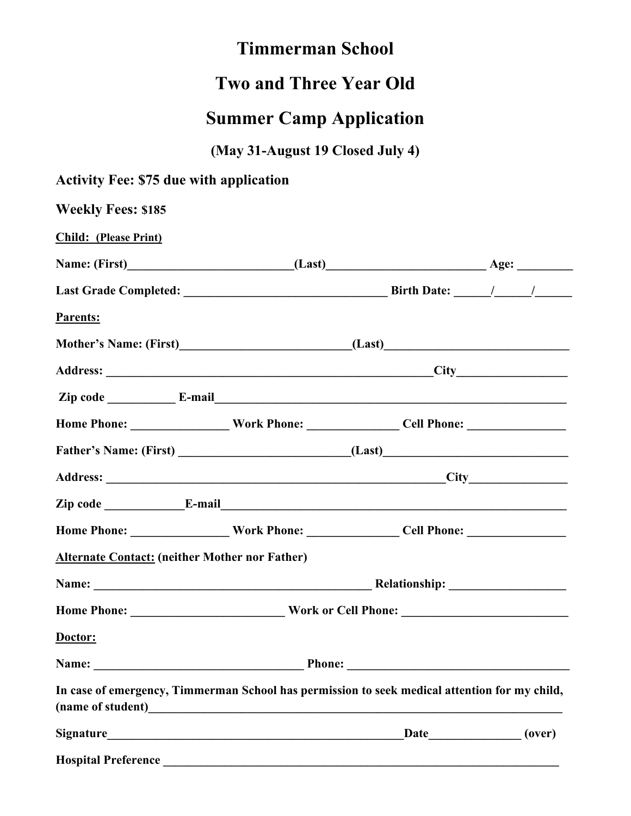## **Timmerman School**

## **Two and Three Year Old**

## **Summer Camp Application**

**(May 31-August 19 Closed July 4)**

| <b>Activity Fee: \$75 due with application</b>                                                       |                                 |  |  |  |
|------------------------------------------------------------------------------------------------------|---------------------------------|--|--|--|
| <b>Weekly Fees: \$185</b>                                                                            |                                 |  |  |  |
| <b>Child:</b> (Please Print)                                                                         |                                 |  |  |  |
|                                                                                                      |                                 |  |  |  |
|                                                                                                      |                                 |  |  |  |
| Parents:                                                                                             |                                 |  |  |  |
|                                                                                                      |                                 |  |  |  |
|                                                                                                      |                                 |  |  |  |
|                                                                                                      |                                 |  |  |  |
| Home Phone: _________________________Work Phone: ___________________Cell Phone: ____________________ |                                 |  |  |  |
|                                                                                                      |                                 |  |  |  |
|                                                                                                      |                                 |  |  |  |
|                                                                                                      |                                 |  |  |  |
|                                                                                                      |                                 |  |  |  |
| <b>Alternate Contact: (neither Mother nor Father)</b>                                                |                                 |  |  |  |
|                                                                                                      |                                 |  |  |  |
|                                                                                                      | Home Phone: Work or Cell Phone: |  |  |  |
| Doctor:                                                                                              |                                 |  |  |  |
|                                                                                                      |                                 |  |  |  |
| In case of emergency, Timmerman School has permission to seek medical attention for my child,        |                                 |  |  |  |
|                                                                                                      |                                 |  |  |  |
|                                                                                                      |                                 |  |  |  |